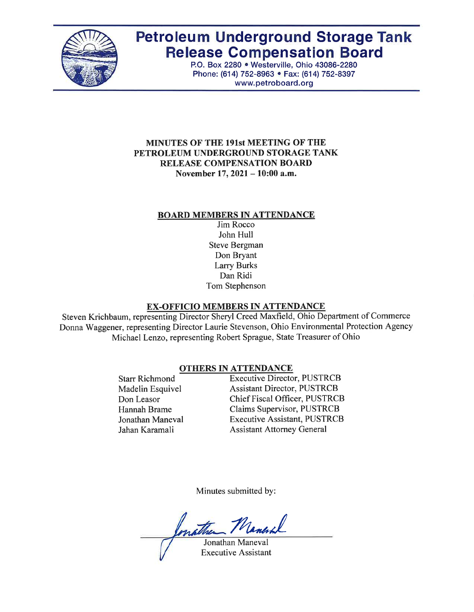

# **Petroleum Underground Storage Tank Release Compensation Board**

P.O. Box 2280 · Westerville, Ohio 43086-2280 Phone: (614) 752-8963 • Fax: (614) 752-8397 www.petroboard.org

#### **MINUTES OF THE 191st MEETING OF THE** PETROLEUM UNDERGROUND STORAGE TANK **RELEASE COMPENSATION BOARD** November 17, 2021 – 10:00 a.m.

#### **BOARD MEMBERS IN ATTENDANCE**

Jim Rocco John Hull **Steve Bergman** Don Bryant **Larry Burks** Dan Ridi Tom Stephenson

# **EX-OFFICIO MEMBERS IN ATTENDANCE**

Steven Krichbaum, representing Director Sheryl Creed Maxfield, Ohio Department of Commerce Donna Waggener, representing Director Laurie Stevenson, Ohio Environmental Protection Agency Michael Lenzo, representing Robert Sprague, State Treasurer of Ohio

# **OTHERS IN ATTENDANCE**

**Starr Richmond** Madelin Esquivel Don Leasor Hannah Brame Jonathan Maneval Jahan Karamali

**Executive Director, PUSTRCB Assistant Director, PUSTRCB** Chief Fiscal Officer, PUSTRCB Claims Supervisor, PUSTRCB **Executive Assistant, PUSTRCB Assistant Attorney General** 

Minutes submitted by:

nather Maner

Jonathan Maneval **Executive Assistant**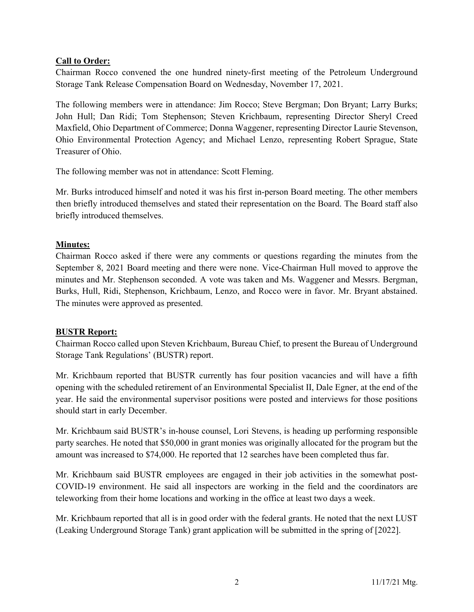#### Call to Order:

Chairman Rocco convened the one hundred ninety-first meeting of the Petroleum Underground Storage Tank Release Compensation Board on Wednesday, November 17, 2021.

The following members were in attendance: Jim Rocco; Steve Bergman; Don Bryant; Larry Burks; John Hull; Dan Ridi; Tom Stephenson; Steven Krichbaum, representing Director Sheryl Creed Maxfield, Ohio Department of Commerce; Donna Waggener, representing Director Laurie Stevenson, Ohio Environmental Protection Agency; and Michael Lenzo, representing Robert Sprague, State Treasurer of Ohio.

The following member was not in attendance: Scott Fleming.

Mr. Burks introduced himself and noted it was his first in-person Board meeting. The other members then briefly introduced themselves and stated their representation on the Board. The Board staff also briefly introduced themselves.

#### Minutes:

Chairman Rocco asked if there were any comments or questions regarding the minutes from the September 8, 2021 Board meeting and there were none. Vice-Chairman Hull moved to approve the minutes and Mr. Stephenson seconded. A vote was taken and Ms. Waggener and Messrs. Bergman, Burks, Hull, Ridi, Stephenson, Krichbaum, Lenzo, and Rocco were in favor. Mr. Bryant abstained. The minutes were approved as presented.

#### BUSTR Report:

Chairman Rocco called upon Steven Krichbaum, Bureau Chief, to present the Bureau of Underground Storage Tank Regulations' (BUSTR) report.

Mr. Krichbaum reported that BUSTR currently has four position vacancies and will have a fifth opening with the scheduled retirement of an Environmental Specialist II, Dale Egner, at the end of the year. He said the environmental supervisor positions were posted and interviews for those positions should start in early December.

Mr. Krichbaum said BUSTR's in-house counsel, Lori Stevens, is heading up performing responsible party searches. He noted that \$50,000 in grant monies was originally allocated for the program but the amount was increased to \$74,000. He reported that 12 searches have been completed thus far.

Mr. Krichbaum said BUSTR employees are engaged in their job activities in the somewhat post-COVID-19 environment. He said all inspectors are working in the field and the coordinators are teleworking from their home locations and working in the office at least two days a week.

Mr. Krichbaum reported that all is in good order with the federal grants. He noted that the next LUST (Leaking Underground Storage Tank) grant application will be submitted in the spring of [2022].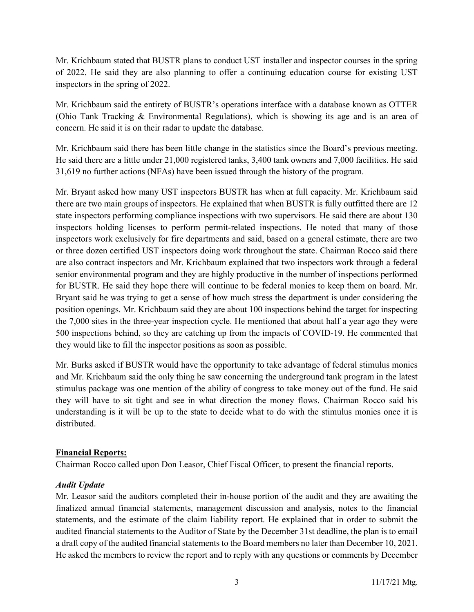Mr. Krichbaum stated that BUSTR plans to conduct UST installer and inspector courses in the spring of 2022. He said they are also planning to offer a continuing education course for existing UST inspectors in the spring of 2022.

Mr. Krichbaum said the entirety of BUSTR's operations interface with a database known as OTTER (Ohio Tank Tracking & Environmental Regulations), which is showing its age and is an area of concern. He said it is on their radar to update the database.

Mr. Krichbaum said there has been little change in the statistics since the Board's previous meeting. He said there are a little under 21,000 registered tanks, 3,400 tank owners and 7,000 facilities. He said 31,619 no further actions (NFAs) have been issued through the history of the program.

Mr. Bryant asked how many UST inspectors BUSTR has when at full capacity. Mr. Krichbaum said there are two main groups of inspectors. He explained that when BUSTR is fully outfitted there are 12 state inspectors performing compliance inspections with two supervisors. He said there are about 130 inspectors holding licenses to perform permit-related inspections. He noted that many of those inspectors work exclusively for fire departments and said, based on a general estimate, there are two or three dozen certified UST inspectors doing work throughout the state. Chairman Rocco said there are also contract inspectors and Mr. Krichbaum explained that two inspectors work through a federal senior environmental program and they are highly productive in the number of inspections performed for BUSTR. He said they hope there will continue to be federal monies to keep them on board. Mr. Bryant said he was trying to get a sense of how much stress the department is under considering the position openings. Mr. Krichbaum said they are about 100 inspections behind the target for inspecting the 7,000 sites in the three-year inspection cycle. He mentioned that about half a year ago they were 500 inspections behind, so they are catching up from the impacts of COVID-19. He commented that they would like to fill the inspector positions as soon as possible.

Mr. Burks asked if BUSTR would have the opportunity to take advantage of federal stimulus monies and Mr. Krichbaum said the only thing he saw concerning the underground tank program in the latest stimulus package was one mention of the ability of congress to take money out of the fund. He said they will have to sit tight and see in what direction the money flows. Chairman Rocco said his understanding is it will be up to the state to decide what to do with the stimulus monies once it is distributed.

# Financial Reports:

Chairman Rocco called upon Don Leasor, Chief Fiscal Officer, to present the financial reports.

# Audit Update

Mr. Leasor said the auditors completed their in-house portion of the audit and they are awaiting the finalized annual financial statements, management discussion and analysis, notes to the financial statements, and the estimate of the claim liability report. He explained that in order to submit the audited financial statements to the Auditor of State by the December 31st deadline, the plan is to email a draft copy of the audited financial statements to the Board members no later than December 10, 2021. He asked the members to review the report and to reply with any questions or comments by December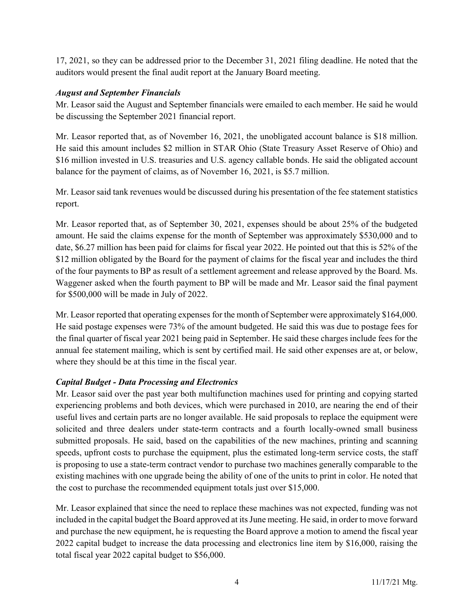17, 2021, so they can be addressed prior to the December 31, 2021 filing deadline. He noted that the auditors would present the final audit report at the January Board meeting.

#### August and September Financials

Mr. Leasor said the August and September financials were emailed to each member. He said he would be discussing the September 2021 financial report.

Mr. Leasor reported that, as of November 16, 2021, the unobligated account balance is \$18 million. He said this amount includes \$2 million in STAR Ohio (State Treasury Asset Reserve of Ohio) and \$16 million invested in U.S. treasuries and U.S. agency callable bonds. He said the obligated account balance for the payment of claims, as of November 16, 2021, is \$5.7 million.

Mr. Leasor said tank revenues would be discussed during his presentation of the fee statement statistics report.

Mr. Leasor reported that, as of September 30, 2021, expenses should be about 25% of the budgeted amount. He said the claims expense for the month of September was approximately \$530,000 and to date, \$6.27 million has been paid for claims for fiscal year 2022. He pointed out that this is 52% of the \$12 million obligated by the Board for the payment of claims for the fiscal year and includes the third of the four payments to BP as result of a settlement agreement and release approved by the Board. Ms. Waggener asked when the fourth payment to BP will be made and Mr. Leasor said the final payment for \$500,000 will be made in July of 2022.

Mr. Leasor reported that operating expenses for the month of September were approximately \$164,000. He said postage expenses were 73% of the amount budgeted. He said this was due to postage fees for the final quarter of fiscal year 2021 being paid in September. He said these charges include fees for the annual fee statement mailing, which is sent by certified mail. He said other expenses are at, or below, where they should be at this time in the fiscal year.

# Capital Budget - Data Processing and Electronics

Mr. Leasor said over the past year both multifunction machines used for printing and copying started experiencing problems and both devices, which were purchased in 2010, are nearing the end of their useful lives and certain parts are no longer available. He said proposals to replace the equipment were solicited and three dealers under state-term contracts and a fourth locally-owned small business submitted proposals. He said, based on the capabilities of the new machines, printing and scanning speeds, upfront costs to purchase the equipment, plus the estimated long-term service costs, the staff is proposing to use a state-term contract vendor to purchase two machines generally comparable to the existing machines with one upgrade being the ability of one of the units to print in color. He noted that the cost to purchase the recommended equipment totals just over \$15,000.

Mr. Leasor explained that since the need to replace these machines was not expected, funding was not included in the capital budget the Board approved at its June meeting. He said, in order to move forward and purchase the new equipment, he is requesting the Board approve a motion to amend the fiscal year 2022 capital budget to increase the data processing and electronics line item by \$16,000, raising the total fiscal year 2022 capital budget to \$56,000.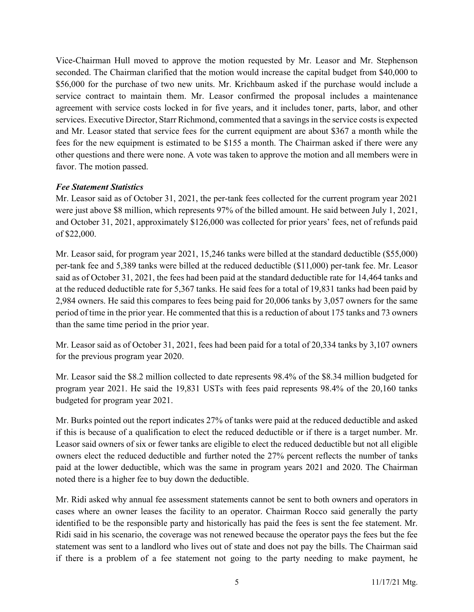Vice-Chairman Hull moved to approve the motion requested by Mr. Leasor and Mr. Stephenson seconded. The Chairman clarified that the motion would increase the capital budget from \$40,000 to \$56,000 for the purchase of two new units. Mr. Krichbaum asked if the purchase would include a service contract to maintain them. Mr. Leasor confirmed the proposal includes a maintenance agreement with service costs locked in for five years, and it includes toner, parts, labor, and other services. Executive Director, Starr Richmond, commented that a savings in the service costs is expected and Mr. Leasor stated that service fees for the current equipment are about \$367 a month while the fees for the new equipment is estimated to be \$155 a month. The Chairman asked if there were any other questions and there were none. A vote was taken to approve the motion and all members were in favor. The motion passed.

#### Fee Statement Statistics

Mr. Leasor said as of October 31, 2021, the per-tank fees collected for the current program year 2021 were just above \$8 million, which represents 97% of the billed amount. He said between July 1, 2021, and October 31, 2021, approximately \$126,000 was collected for prior years' fees, net of refunds paid of \$22,000.

Mr. Leasor said, for program year 2021, 15,246 tanks were billed at the standard deductible (\$55,000) per-tank fee and 5,389 tanks were billed at the reduced deductible (\$11,000) per-tank fee. Mr. Leasor said as of October 31, 2021, the fees had been paid at the standard deductible rate for 14,464 tanks and at the reduced deductible rate for 5,367 tanks. He said fees for a total of 19,831 tanks had been paid by 2,984 owners. He said this compares to fees being paid for 20,006 tanks by 3,057 owners for the same period of time in the prior year. He commented that this is a reduction of about 175 tanks and 73 owners than the same time period in the prior year.

Mr. Leasor said as of October 31, 2021, fees had been paid for a total of 20,334 tanks by 3,107 owners for the previous program year 2020.

Mr. Leasor said the \$8.2 million collected to date represents 98.4% of the \$8.34 million budgeted for program year 2021. He said the 19,831 USTs with fees paid represents 98.4% of the 20,160 tanks budgeted for program year 2021.

Mr. Burks pointed out the report indicates 27% of tanks were paid at the reduced deductible and asked if this is because of a qualification to elect the reduced deductible or if there is a target number. Mr. Leasor said owners of six or fewer tanks are eligible to elect the reduced deductible but not all eligible owners elect the reduced deductible and further noted the 27% percent reflects the number of tanks paid at the lower deductible, which was the same in program years 2021 and 2020. The Chairman noted there is a higher fee to buy down the deductible.

Mr. Ridi asked why annual fee assessment statements cannot be sent to both owners and operators in cases where an owner leases the facility to an operator. Chairman Rocco said generally the party identified to be the responsible party and historically has paid the fees is sent the fee statement. Mr. Ridi said in his scenario, the coverage was not renewed because the operator pays the fees but the fee statement was sent to a landlord who lives out of state and does not pay the bills. The Chairman said if there is a problem of a fee statement not going to the party needing to make payment, he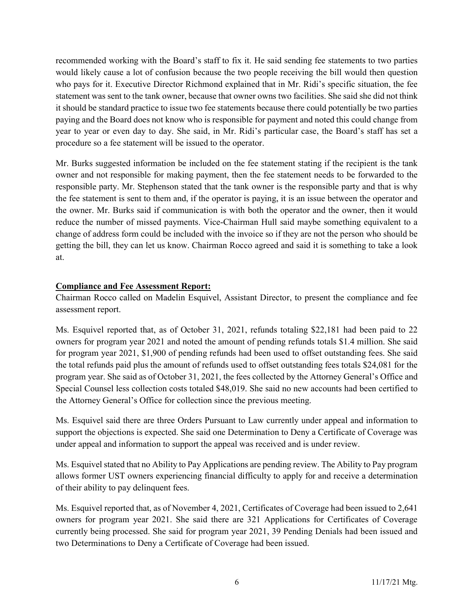recommended working with the Board's staff to fix it. He said sending fee statements to two parties would likely cause a lot of confusion because the two people receiving the bill would then question who pays for it. Executive Director Richmond explained that in Mr. Ridi's specific situation, the fee statement was sent to the tank owner, because that owner owns two facilities. She said she did not think it should be standard practice to issue two fee statements because there could potentially be two parties paying and the Board does not know who is responsible for payment and noted this could change from year to year or even day to day. She said, in Mr. Ridi's particular case, the Board's staff has set a procedure so a fee statement will be issued to the operator.

Mr. Burks suggested information be included on the fee statement stating if the recipient is the tank owner and not responsible for making payment, then the fee statement needs to be forwarded to the responsible party. Mr. Stephenson stated that the tank owner is the responsible party and that is why the fee statement is sent to them and, if the operator is paying, it is an issue between the operator and the owner. Mr. Burks said if communication is with both the operator and the owner, then it would reduce the number of missed payments. Vice-Chairman Hull said maybe something equivalent to a change of address form could be included with the invoice so if they are not the person who should be getting the bill, they can let us know. Chairman Rocco agreed and said it is something to take a look at.

#### Compliance and Fee Assessment Report:

Chairman Rocco called on Madelin Esquivel, Assistant Director, to present the compliance and fee assessment report.

Ms. Esquivel reported that, as of October 31, 2021, refunds totaling \$22,181 had been paid to 22 owners for program year 2021 and noted the amount of pending refunds totals \$1.4 million. She said for program year 2021, \$1,900 of pending refunds had been used to offset outstanding fees. She said the total refunds paid plus the amount of refunds used to offset outstanding fees totals \$24,081 for the program year. She said as of October 31, 2021, the fees collected by the Attorney General's Office and Special Counsel less collection costs totaled \$48,019. She said no new accounts had been certified to the Attorney General's Office for collection since the previous meeting.

Ms. Esquivel said there are three Orders Pursuant to Law currently under appeal and information to support the objections is expected. She said one Determination to Deny a Certificate of Coverage was under appeal and information to support the appeal was received and is under review.

Ms. Esquivel stated that no Ability to Pay Applications are pending review. The Ability to Pay program allows former UST owners experiencing financial difficulty to apply for and receive a determination of their ability to pay delinquent fees.

Ms. Esquivel reported that, as of November 4, 2021, Certificates of Coverage had been issued to 2,641 owners for program year 2021. She said there are 321 Applications for Certificates of Coverage currently being processed. She said for program year 2021, 39 Pending Denials had been issued and two Determinations to Deny a Certificate of Coverage had been issued.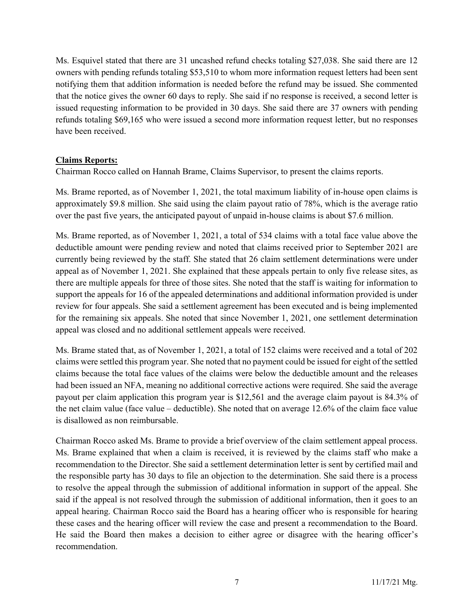Ms. Esquivel stated that there are 31 uncashed refund checks totaling \$27,038. She said there are 12 owners with pending refunds totaling \$53,510 to whom more information request letters had been sent notifying them that addition information is needed before the refund may be issued. She commented that the notice gives the owner 60 days to reply. She said if no response is received, a second letter is issued requesting information to be provided in 30 days. She said there are 37 owners with pending refunds totaling \$69,165 who were issued a second more information request letter, but no responses have been received.

#### Claims Reports:

Chairman Rocco called on Hannah Brame, Claims Supervisor, to present the claims reports.

Ms. Brame reported, as of November 1, 2021, the total maximum liability of in-house open claims is approximately \$9.8 million. She said using the claim payout ratio of 78%, which is the average ratio over the past five years, the anticipated payout of unpaid in-house claims is about \$7.6 million.

Ms. Brame reported, as of November 1, 2021, a total of 534 claims with a total face value above the deductible amount were pending review and noted that claims received prior to September 2021 are currently being reviewed by the staff. She stated that 26 claim settlement determinations were under appeal as of November 1, 2021. She explained that these appeals pertain to only five release sites, as there are multiple appeals for three of those sites. She noted that the staff is waiting for information to support the appeals for 16 of the appealed determinations and additional information provided is under review for four appeals. She said a settlement agreement has been executed and is being implemented for the remaining six appeals. She noted that since November 1, 2021, one settlement determination appeal was closed and no additional settlement appeals were received.

Ms. Brame stated that, as of November 1, 2021, a total of 152 claims were received and a total of 202 claims were settled this program year. She noted that no payment could be issued for eight of the settled claims because the total face values of the claims were below the deductible amount and the releases had been issued an NFA, meaning no additional corrective actions were required. She said the average payout per claim application this program year is \$12,561 and the average claim payout is 84.3% of the net claim value (face value – deductible). She noted that on average 12.6% of the claim face value is disallowed as non reimbursable.

Chairman Rocco asked Ms. Brame to provide a brief overview of the claim settlement appeal process. Ms. Brame explained that when a claim is received, it is reviewed by the claims staff who make a recommendation to the Director. She said a settlement determination letter is sent by certified mail and the responsible party has 30 days to file an objection to the determination. She said there is a process to resolve the appeal through the submission of additional information in support of the appeal. She said if the appeal is not resolved through the submission of additional information, then it goes to an appeal hearing. Chairman Rocco said the Board has a hearing officer who is responsible for hearing these cases and the hearing officer will review the case and present a recommendation to the Board. He said the Board then makes a decision to either agree or disagree with the hearing officer's recommendation.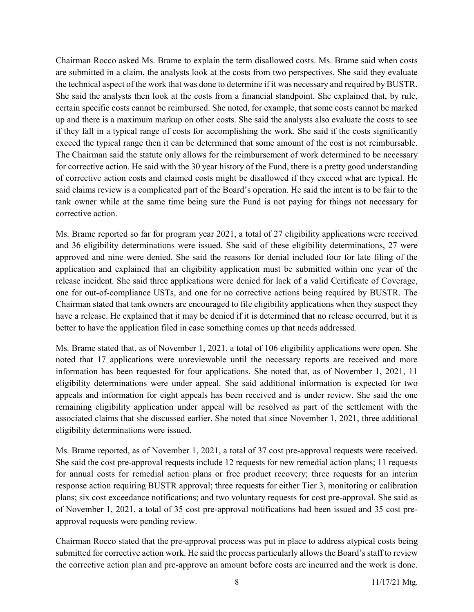Chairman Rocco asked Ms. Brame to explain the term disallowed costs. Ms. Brame said when costs are submitted in a claim, the analysts look at the costs from two perspectives. She said they evaluate the technical aspect of the work that was done to determine if it was necessary and required by BUSTR. She said the analysts then look at the costs from a financial standpoint. She explained that, by rule, certain specific costs cannot be reimbursed. She noted, for example, that some costs cannot be marked up and there is a maximum markup on other costs. She said the analysts also evaluate the costs to see if they fall in a typical range of costs for accomplishing the work. She said if the costs significantly exceed the typical range then it can be determined that some amount of the cost is not reimbursable. The Chairman said the statute only allows for the reimbursement of work determined to be necessary for corrective action. He said with the 30 year history of the Fund, there is a pretty good understanding of corrective action costs and claimed costs might be disallowed if they exceed what are typical. He said claims review is a complicated part of the Board's operation. He said the intent is to be fair to the tank owner while at the same time being sure the Fund is not paying for things not necessary for corrective action.

Ms. Brame reported so far for program year 2021, a total of 27 eligibility applications were received and 36 eligibility determinations were issued. She said of these eligibility determinations, 27 were approved and nine were denied. She said the reasons for denial included four for late filing of the application and explained that an eligibility application must be submitted within one year of the release incident. She said three applications were denied for lack of a valid Certificate of Coverage, one for out-of-compliance USTs, and one for no corrective actions being required by BUSTR. The Chairman stated that tank owners are encouraged to file eligibility applications when they suspect they have a release. He explained that it may be denied if it is determined that no release occurred, but it is better to have the application filed in case something comes up that needs addressed.

Ms. Brame stated that, as of November 1, 2021, a total of 106 eligibility applications were open. She noted that 17 applications were unreviewable until the necessary reports are received and more information has been requested for four applications. She noted that, as of November 1, 2021, 11 eligibility determinations were under appeal. She said additional information is expected for two appeals and information for eight appeals has been received and is under review. She said the one remaining eligibility application under appeal will be resolved as part of the settlement with the associated claims that she discussed earlier. She noted that since November 1, 2021, three additional eligibility determinations were issued.

Ms. Brame reported, as of November 1, 2021, a total of 37 cost pre-approval requests were received. She said the cost pre-approval requests include 12 requests for new remedial action plans; 11 requests for annual costs for remedial action plans or free product recovery; three requests for an interim response action requiring BUSTR approval; three requests for either Tier 3, monitoring or calibration plans; six cost exceedance notifications; and two voluntary requests for cost pre-approval. She said as of November 1, 2021, a total of 35 cost pre-approval notifications had been issued and 35 cost preapproval requests were pending review.

Chairman Rocco stated that the pre-approval process was put in place to address atypical costs being submitted for corrective action work. He said the process particularly allows the Board's staff to review the corrective action plan and pre-approve an amount before costs are incurred and the work is done.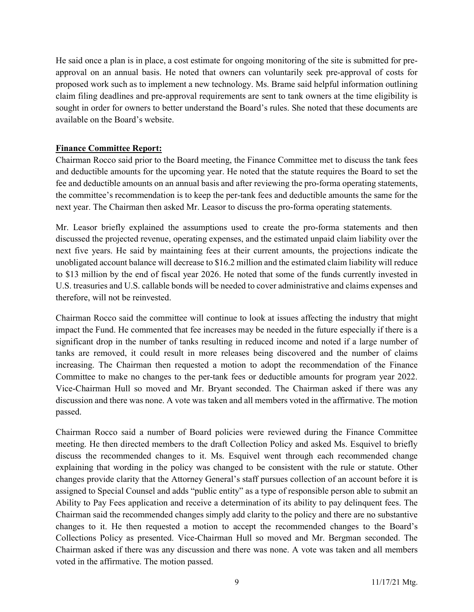He said once a plan is in place, a cost estimate for ongoing monitoring of the site is submitted for preapproval on an annual basis. He noted that owners can voluntarily seek pre-approval of costs for proposed work such as to implement a new technology. Ms. Brame said helpful information outlining claim filing deadlines and pre-approval requirements are sent to tank owners at the time eligibility is sought in order for owners to better understand the Board's rules. She noted that these documents are available on the Board's website.

#### Finance Committee Report:

Chairman Rocco said prior to the Board meeting, the Finance Committee met to discuss the tank fees and deductible amounts for the upcoming year. He noted that the statute requires the Board to set the fee and deductible amounts on an annual basis and after reviewing the pro-forma operating statements, the committee's recommendation is to keep the per-tank fees and deductible amounts the same for the next year. The Chairman then asked Mr. Leasor to discuss the pro-forma operating statements.

Mr. Leasor briefly explained the assumptions used to create the pro-forma statements and then discussed the projected revenue, operating expenses, and the estimated unpaid claim liability over the next five years. He said by maintaining fees at their current amounts, the projections indicate the unobligated account balance will decrease to \$16.2 million and the estimated claim liability will reduce to \$13 million by the end of fiscal year 2026. He noted that some of the funds currently invested in U.S. treasuries and U.S. callable bonds will be needed to cover administrative and claims expenses and therefore, will not be reinvested.

Chairman Rocco said the committee will continue to look at issues affecting the industry that might impact the Fund. He commented that fee increases may be needed in the future especially if there is a significant drop in the number of tanks resulting in reduced income and noted if a large number of tanks are removed, it could result in more releases being discovered and the number of claims increasing. The Chairman then requested a motion to adopt the recommendation of the Finance Committee to make no changes to the per-tank fees or deductible amounts for program year 2022. Vice-Chairman Hull so moved and Mr. Bryant seconded. The Chairman asked if there was any discussion and there was none. A vote was taken and all members voted in the affirmative. The motion passed.

Chairman Rocco said a number of Board policies were reviewed during the Finance Committee meeting. He then directed members to the draft Collection Policy and asked Ms. Esquivel to briefly discuss the recommended changes to it. Ms. Esquivel went through each recommended change explaining that wording in the policy was changed to be consistent with the rule or statute. Other changes provide clarity that the Attorney General's staff pursues collection of an account before it is assigned to Special Counsel and adds "public entity" as a type of responsible person able to submit an Ability to Pay Fees application and receive a determination of its ability to pay delinquent fees. The Chairman said the recommended changes simply add clarity to the policy and there are no substantive changes to it. He then requested a motion to accept the recommended changes to the Board's Collections Policy as presented. Vice-Chairman Hull so moved and Mr. Bergman seconded. The Chairman asked if there was any discussion and there was none. A vote was taken and all members voted in the affirmative. The motion passed.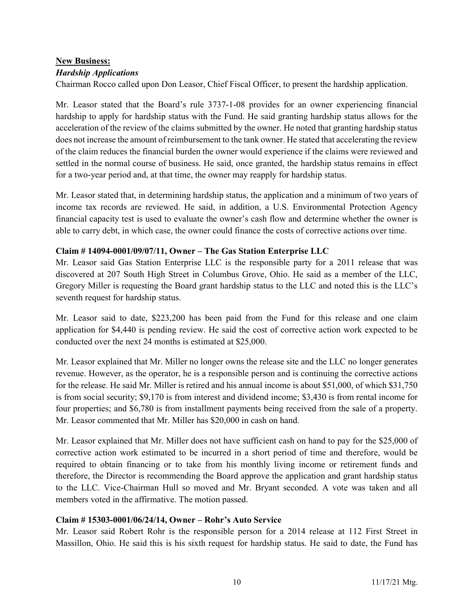# New Business:

#### Hardship Applications

Chairman Rocco called upon Don Leasor, Chief Fiscal Officer, to present the hardship application.

Mr. Leasor stated that the Board's rule 3737-1-08 provides for an owner experiencing financial hardship to apply for hardship status with the Fund. He said granting hardship status allows for the acceleration of the review of the claims submitted by the owner. He noted that granting hardship status does not increase the amount of reimbursement to the tank owner. He stated that accelerating the review of the claim reduces the financial burden the owner would experience if the claims were reviewed and settled in the normal course of business. He said, once granted, the hardship status remains in effect for a two-year period and, at that time, the owner may reapply for hardship status.

Mr. Leasor stated that, in determining hardship status, the application and a minimum of two years of income tax records are reviewed. He said, in addition, a U.S. Environmental Protection Agency financial capacity test is used to evaluate the owner's cash flow and determine whether the owner is able to carry debt, in which case, the owner could finance the costs of corrective actions over time.

#### Claim # 14094-0001/09/07/11, Owner – The Gas Station Enterprise LLC

Mr. Leasor said Gas Station Enterprise LLC is the responsible party for a 2011 release that was discovered at 207 South High Street in Columbus Grove, Ohio. He said as a member of the LLC, Gregory Miller is requesting the Board grant hardship status to the LLC and noted this is the LLC's seventh request for hardship status.

Mr. Leasor said to date, \$223,200 has been paid from the Fund for this release and one claim application for \$4,440 is pending review. He said the cost of corrective action work expected to be conducted over the next 24 months is estimated at \$25,000.

Mr. Leasor explained that Mr. Miller no longer owns the release site and the LLC no longer generates revenue. However, as the operator, he is a responsible person and is continuing the corrective actions for the release. He said Mr. Miller is retired and his annual income is about \$51,000, of which \$31,750 is from social security; \$9,170 is from interest and dividend income; \$3,430 is from rental income for four properties; and \$6,780 is from installment payments being received from the sale of a property. Mr. Leasor commented that Mr. Miller has \$20,000 in cash on hand.

Mr. Leasor explained that Mr. Miller does not have sufficient cash on hand to pay for the \$25,000 of corrective action work estimated to be incurred in a short period of time and therefore, would be required to obtain financing or to take from his monthly living income or retirement funds and therefore, the Director is recommending the Board approve the application and grant hardship status to the LLC. Vice-Chairman Hull so moved and Mr. Bryant seconded. A vote was taken and all members voted in the affirmative. The motion passed.

#### Claim # 15303-0001/06/24/14, Owner – Rohr's Auto Service

Mr. Leasor said Robert Rohr is the responsible person for a 2014 release at 112 First Street in Massillon, Ohio. He said this is his sixth request for hardship status. He said to date, the Fund has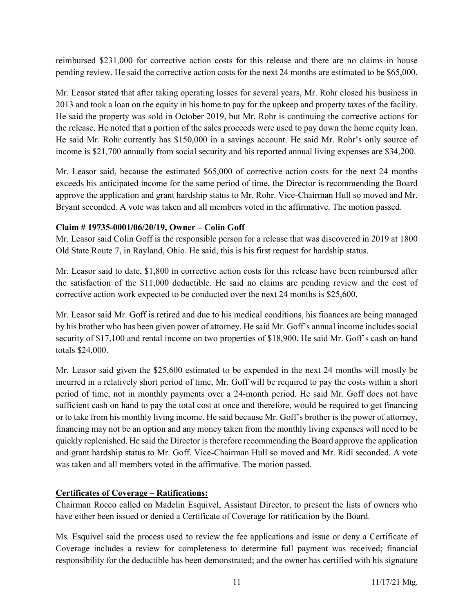reimbursed \$231,000 for corrective action costs for this release and there are no claims in house pending review. He said the corrective action costs for the next 24 months are estimated to be \$65,000.

Mr. Leasor stated that after taking operating losses for several years, Mr. Rohr closed his business in 2013 and took a loan on the equity in his home to pay for the upkeep and property taxes of the facility. He said the property was sold in October 2019, but Mr. Rohr is continuing the corrective actions for the release. He noted that a portion of the sales proceeds were used to pay down the home equity loan. He said Mr. Rohr currently has \$150,000 in a savings account. He said Mr. Rohr's only source of income is \$21,700 annually from social security and his reported annual living expenses are \$34,200.

Mr. Leasor said, because the estimated \$65,000 of corrective action costs for the next 24 months exceeds his anticipated income for the same period of time, the Director is recommending the Board approve the application and grant hardship status to Mr. Rohr. Vice-Chairman Hull so moved and Mr. Bryant seconded. A vote was taken and all members voted in the affirmative. The motion passed.

# Claim # 19735-0001/06/20/19, Owner – Colin Goff

Mr. Leasor said Colin Goff is the responsible person for a release that was discovered in 2019 at 1800 Old State Route 7, in Rayland, Ohio. He said, this is his first request for hardship status.

Mr. Leasor said to date, \$1,800 in corrective action costs for this release have been reimbursed after the satisfaction of the \$11,000 deductible. He said no claims are pending review and the cost of corrective action work expected to be conducted over the next 24 months is \$25,600.

Mr. Leasor said Mr. Goff is retired and due to his medical conditions, his finances are being managed by his brother who has been given power of attorney. He said Mr. Goff's annual income includes social security of \$17,100 and rental income on two properties of \$18,900. He said Mr. Goff's cash on hand totals \$24,000.

Mr. Leasor said given the \$25,600 estimated to be expended in the next 24 months will mostly be incurred in a relatively short period of time, Mr. Goff will be required to pay the costs within a short period of time, not in monthly payments over a 24-month period. He said Mr. Goff does not have sufficient cash on hand to pay the total cost at once and therefore, would be required to get financing or to take from his monthly living income. He said because Mr. Goff's brother is the power of attorney, financing may not be an option and any money taken from the monthly living expenses will need to be quickly replenished. He said the Director is therefore recommending the Board approve the application and grant hardship status to Mr. Goff. Vice-Chairman Hull so moved and Mr. Ridi seconded. A vote was taken and all members voted in the affirmative. The motion passed.

# Certificates of Coverage – Ratifications:

Chairman Rocco called on Madelin Esquivel, Assistant Director, to present the lists of owners who have either been issued or denied a Certificate of Coverage for ratification by the Board.

Ms. Esquivel said the process used to review the fee applications and issue or deny a Certificate of Coverage includes a review for completeness to determine full payment was received; financial responsibility for the deductible has been demonstrated; and the owner has certified with his signature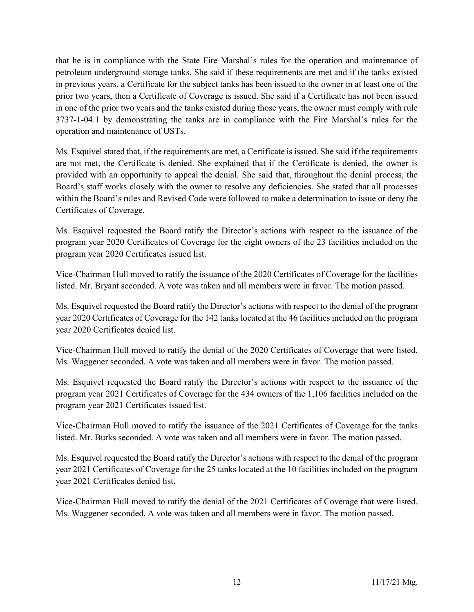that he is in compliance with the State Fire Marshal's rules for the operation and maintenance of petroleum underground storage tanks. She said if these requirements are met and if the tanks existed in previous years, a Certificate for the subject tanks has been issued to the owner in at least one of the prior two years, then a Certificate of Coverage is issued. She said if a Certificate has not been issued in one of the prior two years and the tanks existed during those years, the owner must comply with rule 3737-1-04.1 by demonstrating the tanks are in compliance with the Fire Marshal's rules for the operation and maintenance of USTs.

Ms. Esquivel stated that, if the requirements are met, a Certificate is issued. She said if the requirements are not met, the Certificate is denied. She explained that if the Certificate is denied, the owner is provided with an opportunity to appeal the denial. She said that, throughout the denial process, the Board's staff works closely with the owner to resolve any deficiencies. She stated that all processes within the Board's rules and Revised Code were followed to make a determination to issue or deny the Certificates of Coverage.

Ms. Esquivel requested the Board ratify the Director's actions with respect to the issuance of the program year 2020 Certificates of Coverage for the eight owners of the 23 facilities included on the program year 2020 Certificates issued list.

Vice-Chairman Hull moved to ratify the issuance of the 2020 Certificates of Coverage for the facilities listed. Mr. Bryant seconded. A vote was taken and all members were in favor. The motion passed.

Ms. Esquivel requested the Board ratify the Director's actions with respect to the denial of the program year 2020 Certificates of Coverage for the 142 tanks located at the 46 facilities included on the program year 2020 Certificates denied list.

Vice-Chairman Hull moved to ratify the denial of the 2020 Certificates of Coverage that were listed. Ms. Waggener seconded. A vote was taken and all members were in favor. The motion passed.

Ms. Esquivel requested the Board ratify the Director's actions with respect to the issuance of the program year 2021 Certificates of Coverage for the 434 owners of the 1,106 facilities included on the program year 2021 Certificates issued list.

Vice-Chairman Hull moved to ratify the issuance of the 2021 Certificates of Coverage for the tanks listed. Mr. Burks seconded. A vote was taken and all members were in favor. The motion passed.

Ms. Esquivel requested the Board ratify the Director's actions with respect to the denial of the program year 2021 Certificates of Coverage for the 25 tanks located at the 10 facilities included on the program year 2021 Certificates denied list.

Vice-Chairman Hull moved to ratify the denial of the 2021 Certificates of Coverage that were listed. Ms. Waggener seconded. A vote was taken and all members were in favor. The motion passed.